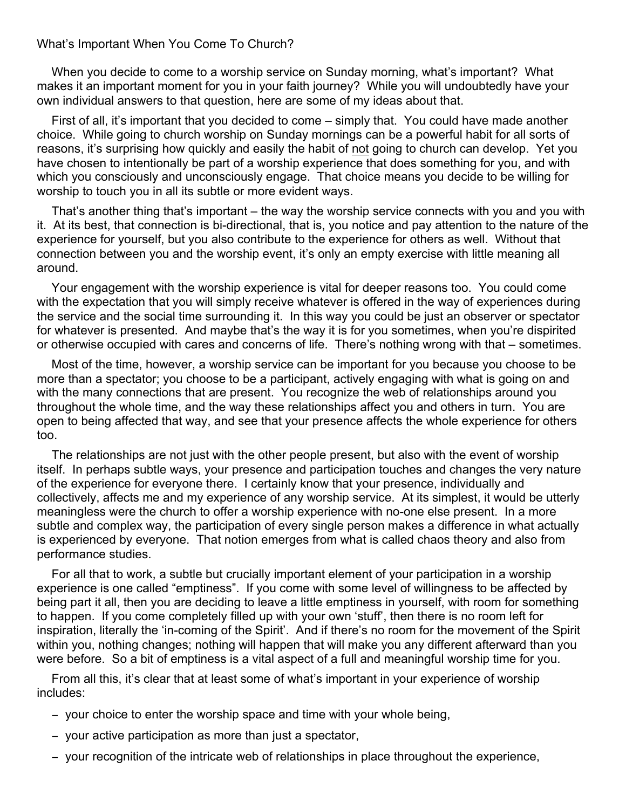## What's Important When You Come To Church?

When you decide to come to a worship service on Sunday morning, what's important? What makes it an important moment for you in your faith journey? While you will undoubtedly have your own individual answers to that question, here are some of my ideas about that.

First of all, it's important that you decided to come – simply that. You could have made another choice. While going to church worship on Sunday mornings can be a powerful habit for all sorts of reasons, it's surprising how quickly and easily the habit of not going to church can develop. Yet you have chosen to intentionally be part of a worship experience that does something for you, and with which you consciously and unconsciously engage. That choice means you decide to be willing for worship to touch you in all its subtle or more evident ways.

That's another thing that's important – the way the worship service connects with you and you with it. At its best, that connection is bi-directional, that is, you notice and pay attention to the nature of the experience for yourself, but you also contribute to the experience for others as well. Without that connection between you and the worship event, it's only an empty exercise with little meaning all around.

Your engagement with the worship experience is vital for deeper reasons too. You could come with the expectation that you will simply receive whatever is offered in the way of experiences during the service and the social time surrounding it. In this way you could be just an observer or spectator for whatever is presented. And maybe that's the way it is for you sometimes, when you're dispirited or otherwise occupied with cares and concerns of life. There's nothing wrong with that – sometimes.

Most of the time, however, a worship service can be important for you because you choose to be more than a spectator; you choose to be a participant, actively engaging with what is going on and with the many connections that are present. You recognize the web of relationships around you throughout the whole time, and the way these relationships affect you and others in turn. You are open to being affected that way, and see that your presence affects the whole experience for others too.

The relationships are not just with the other people present, but also with the event of worship itself. In perhaps subtle ways, your presence and participation touches and changes the very nature of the experience for everyone there. I certainly know that your presence, individually and collectively, affects me and my experience of any worship service. At its simplest, it would be utterly meaningless were the church to offer a worship experience with no-one else present. In a more subtle and complex way, the participation of every single person makes a difference in what actually is experienced by everyone. That notion emerges from what is called chaos theory and also from performance studies.

For all that to work, a subtle but crucially important element of your participation in a worship experience is one called "emptiness". If you come with some level of willingness to be affected by being part it all, then you are deciding to leave a little emptiness in yourself, with room for something to happen. If you come completely filled up with your own 'stuff', then there is no room left for inspiration, literally the 'in-coming of the Spirit'. And if there's no room for the movement of the Spirit within you, nothing changes; nothing will happen that will make you any different afterward than you were before. So a bit of emptiness is a vital aspect of a full and meaningful worship time for you.

From all this, it's clear that at least some of what's important in your experience of worship includes:

- − your choice to enter the worship space and time with your whole being,
- − your active participation as more than just a spectator,
- − your recognition of the intricate web of relationships in place throughout the experience,